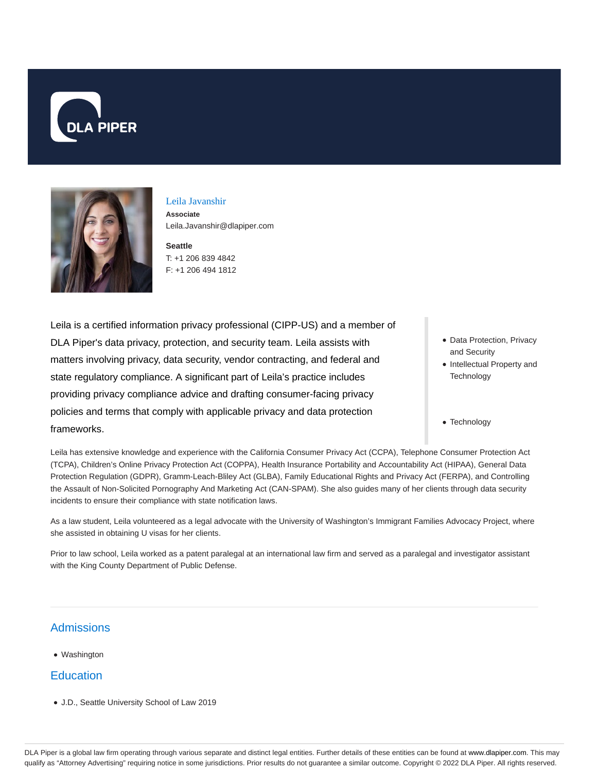



### Leila Javanshir

**Associate** Leila.Javanshir@dlapiper.com

**Seattle** T: +1 206 839 4842 F: +1 206 494 1812

Leila is a certified information privacy professional (CIPP-US) and a member of DLA Piper's data privacy, protection, and security team. Leila assists with matters involving privacy, data security, vendor contracting, and federal and state regulatory compliance. A significant part of Leila's practice includes providing privacy compliance advice and drafting consumer-facing privacy policies and terms that comply with applicable privacy and data protection frameworks.

• Data Protection, Privacy and Security

- Intellectual Property and **Technology**
- Technology

Leila has extensive knowledge and experience with the California Consumer Privacy Act (CCPA), Telephone Consumer Protection Act (TCPA), Children's Online Privacy Protection Act (COPPA), Health Insurance Portability and Accountability Act (HIPAA), General Data Protection Regulation (GDPR), Gramm-Leach-Bliley Act (GLBA), Family Educational Rights and Privacy Act (FERPA), and Controlling the Assault of Non-Solicited Pornography And Marketing Act (CAN-SPAM). She also guides many of her clients through data security incidents to ensure their compliance with state notification laws.

As a law student, Leila volunteered as a legal advocate with the University of Washington's Immigrant Families Advocacy Project, where she assisted in obtaining U visas for her clients.

Prior to law school, Leila worked as a patent paralegal at an international law firm and served as a paralegal and investigator assistant with the King County Department of Public Defense.

# **Admissions**

Washington

## **Education**

J.D., Seattle University School of Law 2019